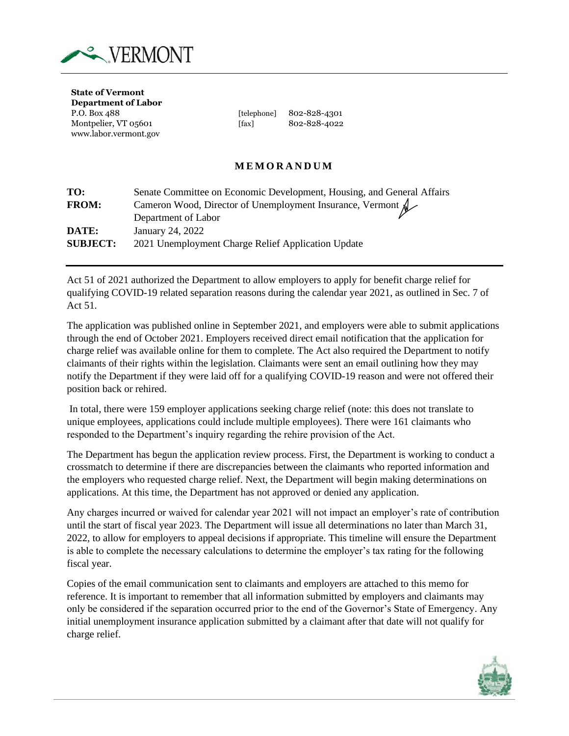

**State of Vermont Department of Labor** www.labor.vermont.gov

P.O. Box 488 [telephone] 802-828-4301 Montpelier, VT 05601 [fax] 802-828-4022

## **M E M O R A N D U M**

| TO:             | Senate Committee on Economic Development, Housing, and General Affairs |
|-----------------|------------------------------------------------------------------------|
| <b>FROM:</b>    | Cameron Wood, Director of Unemployment Insurance, Vermont &            |
|                 | Department of Labor                                                    |
| DATE:           | January 24, 2022                                                       |
| <b>SUBJECT:</b> | 2021 Unemployment Charge Relief Application Update                     |

Act 51 of 2021 authorized the Department to allow employers to apply for benefit charge relief for qualifying COVID-19 related separation reasons during the calendar year 2021, as outlined in Sec. 7 of Act 51.

The application was published online in September 2021, and employers were able to submit applications through the end of October 2021. Employers received direct email notification that the application for charge relief was available online for them to complete. The Act also required the Department to notify claimants of their rights within the legislation. Claimants were sent an email outlining how they may notify the Department if they were laid off for a qualifying COVID-19 reason and were not offered their position back or rehired.

In total, there were 159 employer applications seeking charge relief (note: this does not translate to unique employees, applications could include multiple employees). There were 161 claimants who responded to the Department's inquiry regarding the rehire provision of the Act.

The Department has begun the application review process. First, the Department is working to conduct a crossmatch to determine if there are discrepancies between the claimants who reported information and the employers who requested charge relief. Next, the Department will begin making determinations on applications. At this time, the Department has not approved or denied any application.

Any charges incurred or waived for calendar year 2021 will not impact an employer's rate of contribution until the start of fiscal year 2023. The Department will issue all determinations no later than March 31, 2022, to allow for employers to appeal decisions if appropriate. This timeline will ensure the Department is able to complete the necessary calculations to determine the employer's tax rating for the following fiscal year.

Copies of the email communication sent to claimants and employers are attached to this memo for reference. It is important to remember that all information submitted by employers and claimants may only be considered if the separation occurred prior to the end of the Governor's State of Emergency. Any initial unemployment insurance application submitted by a claimant after that date will not qualify for charge relief.

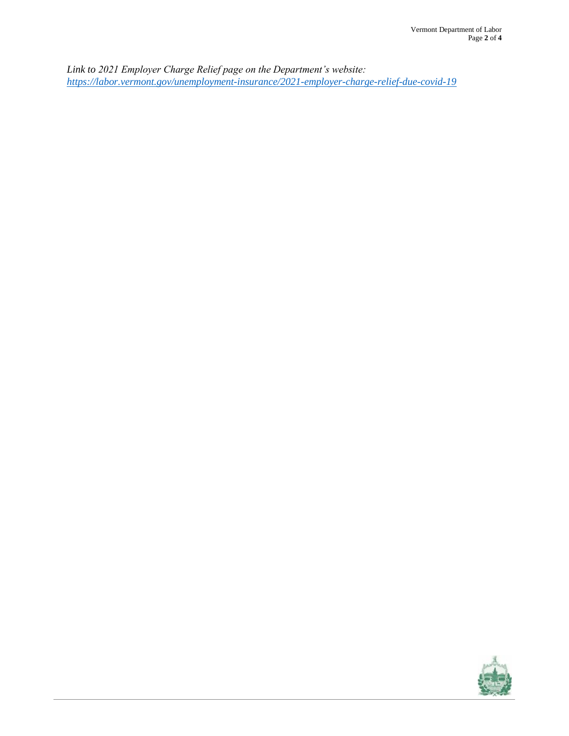*Link to 2021 Employer Charge Relief page on the Department's website: <https://labor.vermont.gov/unemployment-insurance/2021-employer-charge-relief-due-covid-19>*

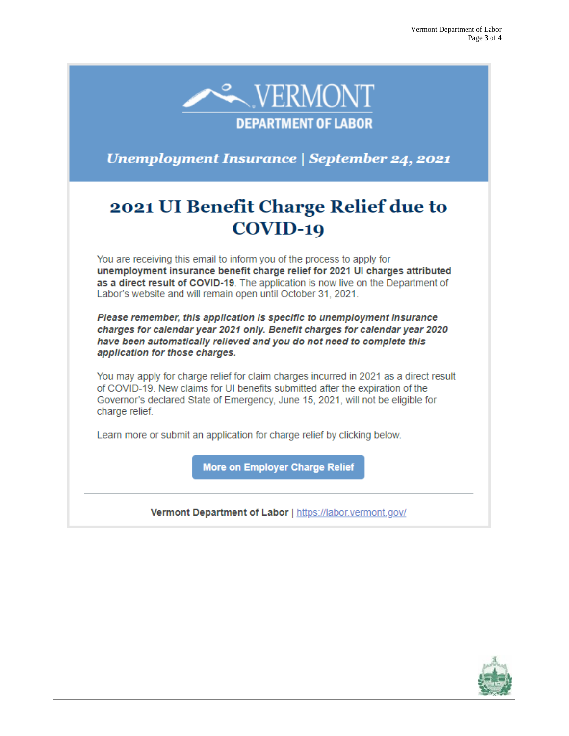

**Unemployment Insurance | September 24, 2021** 

## 2021 UI Benefit Charge Relief due to COVID-19

You are receiving this email to inform you of the process to apply for unemployment insurance benefit charge relief for 2021 UI charges attributed as a direct result of COVID-19. The application is now live on the Department of Labor's website and will remain open until October 31, 2021.

Please remember, this application is specific to unemployment insurance charges for calendar year 2021 only. Benefit charges for calendar year 2020 have been automatically relieved and you do not need to complete this application for those charges.

You may apply for charge relief for claim charges incurred in 2021 as a direct result of COVID-19. New claims for UI benefits submitted after the expiration of the Governor's declared State of Emergency, June 15, 2021, will not be eligible for charge relief.

Learn more or submit an application for charge relief by clicking below.

More on Employer Charge Relief

Vermont Department of Labor | https://labor.vermont.gov/